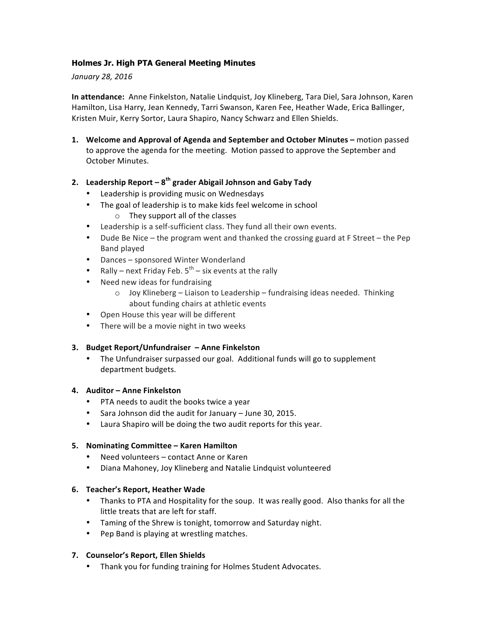# **Holmes Jr. High PTA General Meeting Minutes**

#### *January 28, 2016*

**In attendance:** Anne Finkelston, Natalie Lindquist, Joy Klineberg, Tara Diel, Sara Johnson, Karen Hamilton, Lisa Harry, Jean Kennedy, Tarri Swanson, Karen Fee, Heather Wade, Erica Ballinger, Kristen Muir, Kerry Sortor, Laura Shapiro, Nancy Schwarz and Ellen Shields.

**1.** Welcome and Approval of Agenda and September and October Minutes – motion passed to approve the agenda for the meeting. Motion passed to approve the September and October Minutes.

## **2. Leadership Report – 8th grader Abigail Johnson and Gaby Tady**

- Leadership is providing music on Wednesdays
- The goal of leadership is to make kids feel welcome in school
	- $\circ$  They support all of the classes
- Leadership is a self-sufficient class. They fund all their own events.
- Dude Be Nice  $-$  the program went and thanked the crossing guard at F Street  $-$  the Pep Band played
- Dances sponsored Winter Wonderland
- Rally next Friday Feb.  $5<sup>th</sup>$  six events at the rally
- Need new ideas for fundraising
	- $\circ$  Joy Klineberg Liaison to Leadership fundraising ideas needed. Thinking about funding chairs at athletic events
- Open House this year will be different
- There will be a movie night in two weeks

#### **3. Budget Report/Unfundraiser – Anne Finkelston**

• The Unfundraiser surpassed our goal. Additional funds will go to supplement department budgets.

#### **4. Auditor – Anne Finkelston**

- PTA needs to audit the books twice a year
- Sara Johnson did the audit for January June 30, 2015.
- Laura Shapiro will be doing the two audit reports for this year.

#### **5. Nominating Committee – Karen Hamilton**

- Need volunteers contact Anne or Karen
- Diana Mahoney, Joy Klineberg and Natalie Lindquist volunteered

#### **6. Teacher's Report, Heather Wade**

- Thanks to PTA and Hospitality for the soup. It was really good. Also thanks for all the little treats that are left for staff.
- Taming of the Shrew is tonight, tomorrow and Saturday night.
- Pep Band is playing at wrestling matches.

#### **7. Counselor's Report, Ellen Shields**

• Thank you for funding training for Holmes Student Advocates.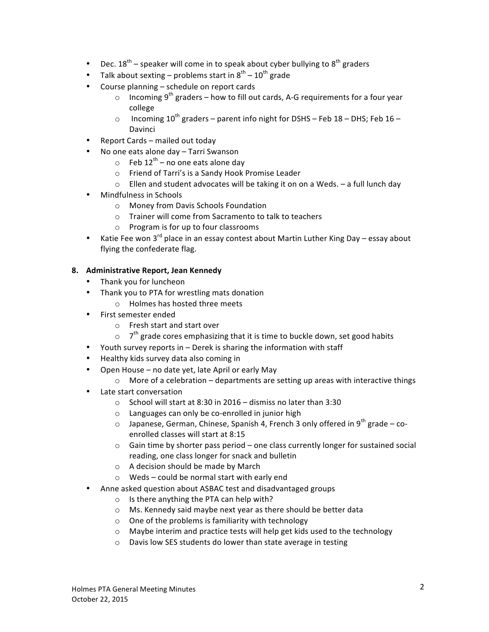- Dec.  $18^{th}$  speaker will come in to speak about cyber bullying to  $8^{th}$  graders
- Talk about sexting problems start in  $8^{th}$   $10^{th}$  grade
- Course planning  $-$  schedule on report cards
	- $\circ$  Incoming 9<sup>th</sup> graders how to fill out cards, A-G requirements for a four year college
	- o Incoming  $10^{th}$  graders parent info night for DSHS Feb 18 DHS; Feb 16 Davinci
- Report Cards mailed out today
- No one eats alone day Tarri Swanson
	- $\circ$  Feb 12<sup>th</sup> no one eats alone day
	- o Friend of Tarri's is a Sandy Hook Promise Leader
	- $\circ$  Ellen and student advocates will be taking it on on a Weds. a full lunch day
- Mindfulness in Schools
	- o Money from Davis Schools Foundation
	- $\circ$  Trainer will come from Sacramento to talk to teachers
	- $\circ$  Program is for up to four classrooms
- Katie Fee won 3<sup>rd</sup> place in an essay contest about Martin Luther King Day essay about flying the confederate flag.

#### **8. Administrative Report, Jean Kennedy**

- Thank you for luncheon
- Thank you to PTA for wrestling mats donation
	- $\circ$  Holmes has hosted three meets
- First semester ended
	- o Fresh start and start over
	- $\circ$  7<sup>th</sup> grade cores emphasizing that it is time to buckle down, set good habits
- Youth survey reports in Derek is sharing the information with staff
- Healthy kids survey data also coming in
- Open House no date yet, late April or early May
	- $\circ$  More of a celebration departments are setting up areas with interactive things
- Late start conversation
	- $\circ$  School will start at 8:30 in 2016 dismiss no later than 3:30
	- $\circ$  Languages can only be co-enrolled in junior high
	- $\circ$  Japanese, German, Chinese, Spanish 4, French 3 only offered in 9<sup>th</sup> grade coenrolled classes will start at 8:15
	- $\circ$  Gain time by shorter pass period one class currently longer for sustained social reading, one class longer for snack and bulletin
	- $\circ$  A decision should be made by March
	- $\circ$  Weds could be normal start with early end
- Anne asked question about ASBAC test and disadvantaged groups
	- $\circ$  Is there anything the PTA can help with?
	- $\circ$  Ms. Kennedy said maybe next year as there should be better data
	- $\circ$  One of the problems is familiarity with technology
	- o Maybe interim and practice tests will help get kids used to the technology
	- $\circ$  Davis low SES students do lower than state average in testing